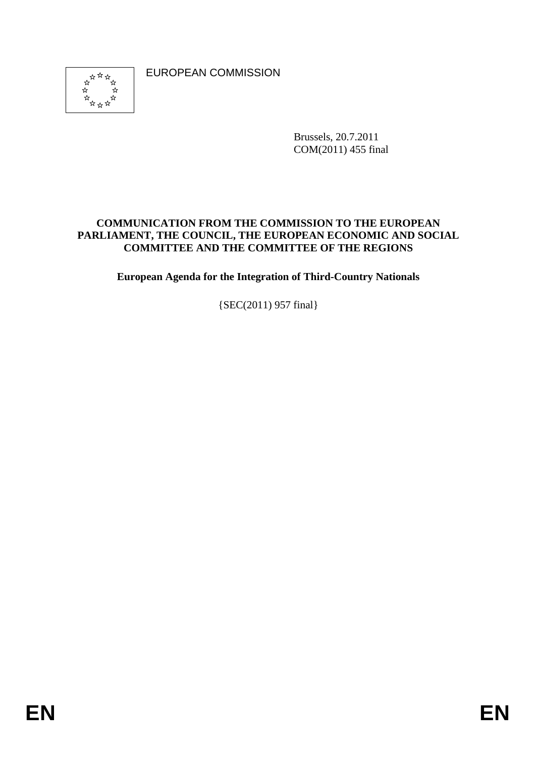EUROPEAN COMMISSION



Brussels, 20.7.2011 COM(2011) 455 final

#### **COMMUNICATION FROM THE COMMISSION TO THE EUROPEAN PARLIAMENT, THE COUNCIL, THE EUROPEAN ECONOMIC AND SOCIAL COMMITTEE AND THE COMMITTEE OF THE REGIONS**

**European Agenda for the Integration of Third-Country Nationals** 

{SEC(2011) 957 final}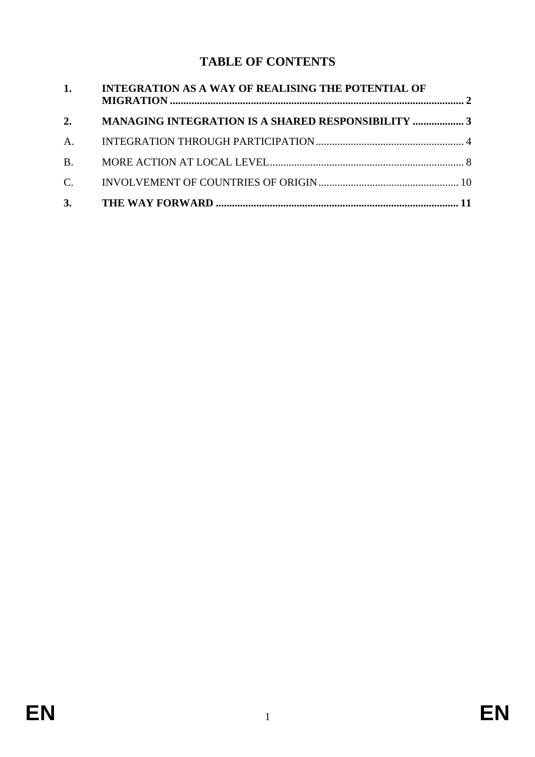# **TABLE OF CONTENTS**

| 1.          | <b>INTEGRATION AS A WAY OF REALISING THE POTENTIAL OF</b> |  |
|-------------|-----------------------------------------------------------|--|
| 2.          | <b>MANAGING INTEGRATION IS A SHARED RESPONSIBILITY  3</b> |  |
| A.          |                                                           |  |
| <b>B</b> .  |                                                           |  |
| $C_{\cdot}$ |                                                           |  |
|             |                                                           |  |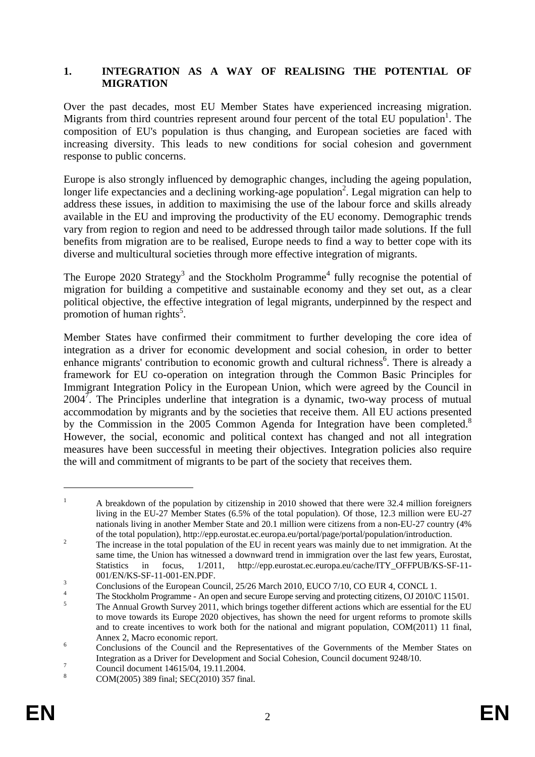#### <span id="page-2-0"></span>**1. INTEGRATION AS A WAY OF REALISING THE POTENTIAL OF MIGRATION**

Over the past decades, most EU Member States have experienced increasing migration. Migrants from third countries represent around four percent of the total EU population<sup>1</sup>. The composition of EU's population is thus changing, and European societies are faced with increasing diversity. This leads to new conditions for social cohesion and government response to public concerns.

Europe is also strongly influenced by demographic changes, including the ageing population, longer life expectancies and a declining working-age population<sup>2</sup>. Legal migration can help to address these issues, in addition to maximising the use of the labour force and skills already available in the EU and improving the productivity of the EU economy. Demographic trends vary from region to region and need to be addressed through tailor made solutions. If the full benefits from migration are to be realised, Europe needs to find a way to better cope with its diverse and multicultural societies through more effective integration of migrants.

The Europe 2020 Strategy<sup>3</sup> and the Stockholm Programme<sup>4</sup> fully recognise the potential of migration for building a competitive and sustainable economy and they set out, as a clear political objective, the effective integration of legal migrants, underpinned by the respect and promotion of human rights<sup>5</sup>.

Member States have confirmed their commitment to further developing the core idea of integration as a driver for economic development and social cohesion, in order to better enhance migrants' contribution to economic growth and cultural richness<sup>6</sup>. There is already a framework for EU co-operation on integration through the Common Basic Principles for Immigrant Integration Policy in the European Union, which were agreed by the Council in  $2004^7$ . The Principles underline that integration is a dynamic, two-way process of mutual accommodation by migrants and by the societies that receive them. All EU actions presented by the Commission in the 2005 Common Agenda for Integration have been completed.<sup>8</sup> However, the social, economic and political context has changed and not all integration measures have been successful in meeting their objectives. Integration policies also require the will and commitment of migrants to be part of the society that receives them.

<sup>1</sup> A breakdown of the population by citizenship in 2010 showed that there were 32.4 million foreigners living in the EU-27 Member States (6.5% of the total population). Of those, 12.3 million were EU-27 nationals living in another Member State and 20.1 million were citizens from a non-EU-27 country (4% of the total population)[, http://epp.eurostat.ec.europa.eu/portal/page/portal/population/introduction.](http://epp.eurostat.ec.europa.eu/portal/page/portal/population/introduction) 2

The increase in the total population of the EU in recent years was mainly due to net immigration. At the same time, the Union has witnessed a downward trend in immigration over the last few years, Eurostat, Statistics in focus, 1/2011, http://epp.eurostat.ec.europa.eu/cache/ITY\_OFFPUB/KS-SF-11-  $001/EN/KS-SF-11-001-EN.PDF.$ 

Conclusions of the European Council, 25/26 March 2010, EUCO 7/10, CO EUR 4, CONCL 1.

<sup>4</sup> The Stockholm Programme - An open and secure Europe serving and protecting citizens, OJ 2010/C 115/01.

The Annual Growth Survey 2011, which brings together different actions which are essential for the EU to move towards its Europe 2020 objectives, has shown the need for urgent reforms to promote skills and to create incentives to work both for the national and migrant population, COM(2011) 11 final, Annex 2, Macro economic report.

Conclusions of the Council and the Representatives of the Governments of the Member States on Integration as a Driver for Development and Social Cohesion, Council document 9248/10.

Council document 14615/04, 19.11.2004.

<sup>8</sup> COM(2005) 389 final; SEC(2010) 357 final.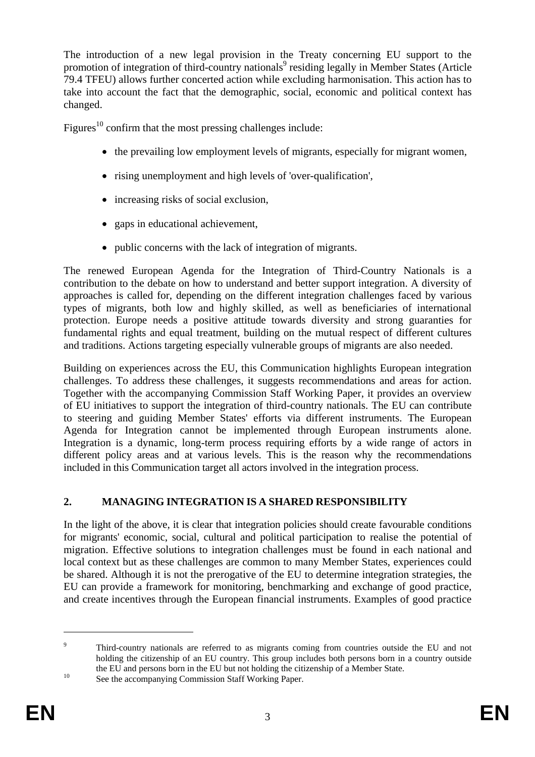The introduction of a new legal provision in the Treaty concerning EU support to the promotion of integration of third-country nationals<sup>9</sup> residing legally in Member States (Article 79.4 TFEU) allows further concerted action while excluding harmonisation. This action has to take into account the fact that the demographic, social, economic and political context has changed.

Figures<sup>10</sup> confirm that the most pressing challenges include:

- the prevailing low employment levels of migrants, especially for migrant women,
- rising unemployment and high levels of 'over-qualification',
- increasing risks of social exclusion,
- gaps in educational achievement,
- public concerns with the lack of integration of migrants.

The renewed European Agenda for the Integration of Third-Country Nationals is a contribution to the debate on how to understand and better support integration. A diversity of approaches is called for, depending on the different integration challenges faced by various types of migrants, both low and highly skilled, as well as beneficiaries of international protection. Europe needs a positive attitude towards diversity and strong guaranties for fundamental rights and equal treatment, building on the mutual respect of different cultures and traditions. Actions targeting especially vulnerable groups of migrants are also needed.

Building on experiences across the EU, this Communication highlights European integration challenges. To address these challenges, it suggests recommendations and areas for action. Together with the accompanying Commission Staff Working Paper, it provides an overview of EU initiatives to support the integration of third-country nationals. The EU can contribute to steering and guiding Member States' efforts via different instruments. The European Agenda for Integration cannot be implemented through European instruments alone. Integration is a dynamic, long-term process requiring efforts by a wide range of actors in different policy areas and at various levels. This is the reason why the recommendations included in this Communication target all actors involved in the integration process.

# <span id="page-3-0"></span>**2. MANAGING INTEGRATION IS A SHARED RESPONSIBILITY**

In the light of the above, it is clear that integration policies should create favourable conditions for migrants' economic, social, cultural and political participation to realise the potential of migration. Effective solutions to integration challenges must be found in each national and local context but as these challenges are common to many Member States, experiences could be shared. Although it is not the prerogative of the EU to determine integration strategies, the EU can provide a framework for monitoring, benchmarking and exchange of good practice, and create incentives through the European financial instruments. Examples of good practice

<sup>9</sup> Third-country nationals are referred to as migrants coming from countries outside the EU and not holding the citizenship of an EU country. This group includes both persons born in a country outside the EU and persons born in the EU but not holding the citizenship of a Member State.<br>See the accompanying Commission Staff Working Paper.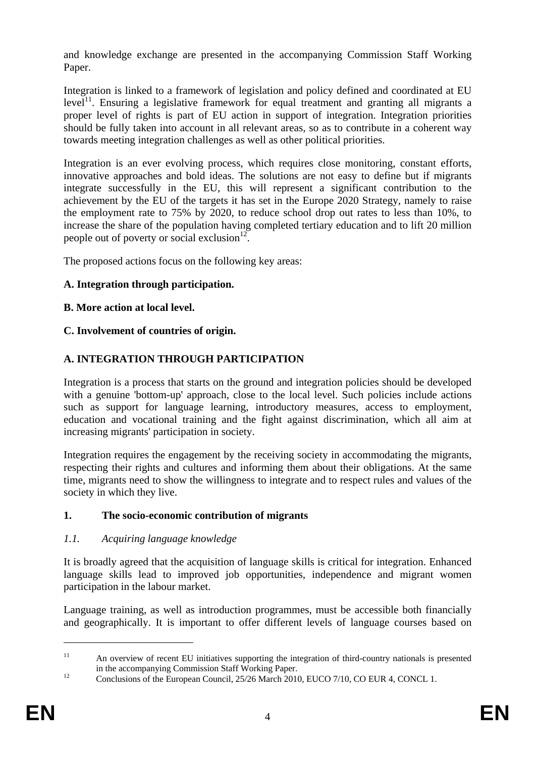and knowledge exchange are presented in the accompanying Commission Staff Working Paper.

Integration is linked to a framework of legislation and policy defined and coordinated at EU  $level<sup>11</sup>$ . Ensuring a legislative framework for equal treatment and granting all migrants a proper level of rights is part of EU action in support of integration. Integration priorities should be fully taken into account in all relevant areas, so as to contribute in a coherent way towards meeting integration challenges as well as other political priorities.

Integration is an ever evolving process, which requires close monitoring, constant efforts, innovative approaches and bold ideas. The solutions are not easy to define but if migrants integrate successfully in the EU, this will represent a significant contribution to the achievement by the EU of the targets it has set in the Europe 2020 Strategy, namely to raise the employment rate to 75% by 2020, to reduce school drop out rates to less than 10%, to increase the share of the population having completed tertiary education and to lift 20 million people out of poverty or social exclusion $12$ .

The proposed actions focus on the following key areas:

### **A. Integration through participation.**

### **B. More action at local level.**

### **C. Involvement of countries of origin.**

### <span id="page-4-0"></span>**A. INTEGRATION THROUGH PARTICIPATION**

Integration is a process that starts on the ground and integration policies should be developed with a genuine 'bottom-up' approach, close to the local level. Such policies include actions such as support for language learning, introductory measures, access to employment, education and vocational training and the fight against discrimination, which all aim at increasing migrants' participation in society.

Integration requires the engagement by the receiving society in accommodating the migrants, respecting their rights and cultures and informing them about their obligations. At the same time, migrants need to show the willingness to integrate and to respect rules and values of the society in which they live.

### **1. The socio-economic contribution of migrants**

### *1.1. Acquiring language knowledge*

It is broadly agreed that the acquisition of language skills is critical for integration. Enhanced language skills lead to improved job opportunities, independence and migrant women participation in the labour market.

Language training, as well as introduction programmes, must be accessible both financially and geographically. It is important to offer different levels of language courses based on

<sup>&</sup>lt;sup>11</sup> An overview of recent EU initiatives supporting the integration of third-country nationals is presented in the accompanying Commission Staff Working Paper.<br>
12 Conclusions of the European Council, 25/26 March 2010, EUCO 7/10, CO EUR 4, CONCL 1.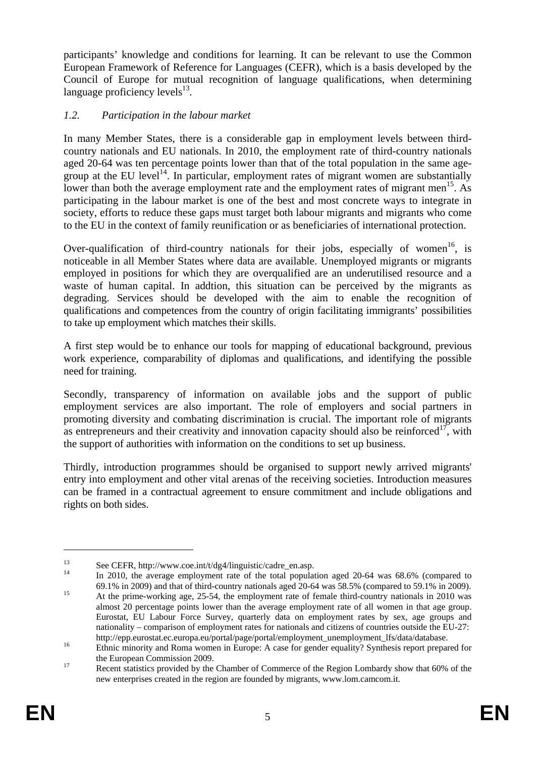participants' knowledge and conditions for learning. It can be relevant to use the Common European Framework of Reference for Languages (CEFR), which is a basis developed by the Council of Europe for mutual recognition of language qualifications, when determining language proficiency levels $^{13}$ .

### *1.2. Participation in the labour market*

In many Member States, there is a considerable gap in employment levels between thirdcountry nationals and EU nationals. In 2010, the employment rate of third-country nationals aged 20-64 was ten percentage points lower than that of the total population in the same agegroup at the EU level<sup>14</sup>. In particular, employment rates of migrant women are substantially lower than both the average employment rate and the employment rates of migrant men<sup>15</sup>. As participating in the labour market is one of the best and most concrete ways to integrate in society, efforts to reduce these gaps must target both labour migrants and migrants who come to the EU in the context of family reunification or as beneficiaries of international protection.

Over-qualification of third-country nationals for their jobs, especially of women<sup>16</sup>, is noticeable in all Member States where data are available. Unemployed migrants or migrants employed in positions for which they are overqualified are an underutilised resource and a waste of human capital. In addtion, this situation can be perceived by the migrants as degrading. Services should be developed with the aim to enable the recognition of qualifications and competences from the country of origin facilitating immigrants' possibilities to take up employment which matches their skills.

A first step would be to enhance our tools for mapping of educational background, previous work experience, comparability of diplomas and qualifications, and identifying the possible need for training.

Secondly, transparency of information on available jobs and the support of public employment services are also important. The role of employers and social partners in promoting diversity and combating discrimination is crucial. The important role of migrants as entrepreneurs and their creativity and innovation capacity should also be reinforced<sup>17</sup>, with the support of authorities with information on the conditions to set up business.

Thirdly, introduction programmes should be organised to support newly arrived migrants' entry into employment and other vital arenas of the receiving societies. Introduction measures can be framed in a contractual agreement to ensure commitment and include obligations and rights on both sides.

<sup>13</sup> See CEFR[, http://www.coe.int/t/dg4/linguistic/cadre\\_en.asp.](http://www.coe.int/t/dg4/linguistic/cadre_en.asp)<br>
14 In 2010, the average employment rate of the total population aged 20-64 was 68.6% (compared to 69.1% in 2009).

<sup>&</sup>lt;sup>15</sup> At the prime-working age, 25-54, the employment rate of female third-country nationals in 2010 was almost 20 percentage points lower than the average employment rate of all women in that age group. Eurostat, EU Labour Force Survey, quarterly data on employment rates by sex, age groups and nationality – comparison of employment rates for nationals and citizens of countries outside the EU-27:

[http://epp.eurostat.ec.europa.eu/portal/page/portal/employment\\_unemployment\\_lfs/data/database.](http://epp.eurostat.ec.europa.eu/portal/page/portal/employment_unemployment_lfs/data/database)<br>
16 Ethnic minority and Roma women in Europe: A case for gender equality? Synthesis report prepared for the European Commission 2009.<br><sup>17</sup> Recent statistics provided by the Chamber of Commerce of the Region Lombardy show that 60% of the

[new enterprises created in the region are founded by migrants, www.lom.camcom.it.](http://www.lom.camcom.it/)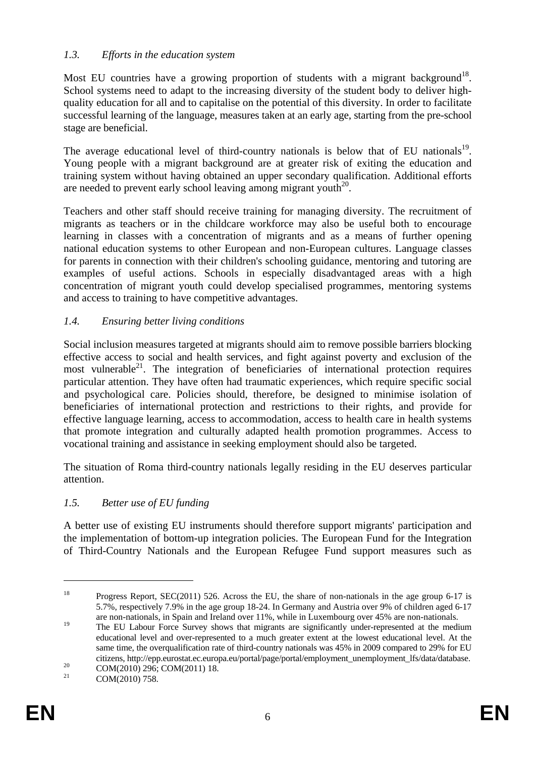### *1.3. Efforts in the education system*

Most EU countries have a growing proportion of students with a migrant background<sup>18</sup>. School systems need to adapt to the increasing diversity of the student body to deliver highquality education for all and to capitalise on the potential of this diversity. In order to facilitate successful learning of the language, measures taken at an early age, starting from the pre-school stage are beneficial.

The average educational level of third-country nationals is below that of EU nationals<sup>19</sup>. Young people with a migrant background are at greater risk of exiting the education and training system without having obtained an upper secondary qualification. Additional efforts are needed to prevent early school leaving among migrant youth $^{20}$ .

Teachers and other staff should receive training for managing diversity. The recruitment of migrants as teachers or in the childcare workforce may also be useful both to encourage learning in classes with a concentration of migrants and as a means of further opening national education systems to other European and non-European cultures. Language classes for parents in connection with their children's schooling guidance, mentoring and tutoring are examples of useful actions. Schools in especially disadvantaged areas with a high concentration of migrant youth could develop specialised programmes, mentoring systems and access to training to have competitive advantages.

### *1.4. Ensuring better living conditions*

Social inclusion measures targeted at migrants should aim to remove possible barriers blocking effective access to social and health services, and fight against poverty and exclusion of the most vulnerable $^{21}$ . The integration of beneficiaries of international protection requires particular attention. They have often had traumatic experiences, which require specific social and psychological care. Policies should, therefore, be designed to minimise isolation of beneficiaries of international protection and restrictions to their rights, and provide for effective language learning, access to accommodation, access to health care in health systems that promote integration and culturally adapted health promotion programmes. Access to vocational training and assistance in seeking employment should also be targeted.

The situation of Roma third-country nationals legally residing in the EU deserves particular attention.

#### *1.5. Better use of EU funding*

A better use of existing EU instruments should therefore support migrants' participation and the implementation of bottom-up integration policies. The European Fund for the Integration of Third-Country Nationals and the European Refugee Fund support measures such as

<sup>&</sup>lt;sup>18</sup> Progress Report, SEC(2011) 526. Across the EU, the share of non-nationals in the age group 6-17 is 5.7%, respectively 7.9% in the age group 18-24. In Germany and Austria over 9% of children aged 6-17 are non-nationals, in Spain and Ireland over 11%, while in Luxembourg over 45% are non-nationals.

<sup>&</sup>lt;sup>19</sup> The EU Labour Force Survey shows that migrants are significantly under-represented at the medium educational level and over-represented to a much greater extent at the lowest educational level. At the same time, the overqualification rate of third-country nationals was 45% in 2009 compared to 29% for EU citizens, http://epp.eurostat.ec.europa.eu/portal/page/portal/employment\_unemployment\_lfs/data/database.<br>
COM(2010) 296; COM(2011) 18.<br>
COM(2010) 758

COM(2010) 758.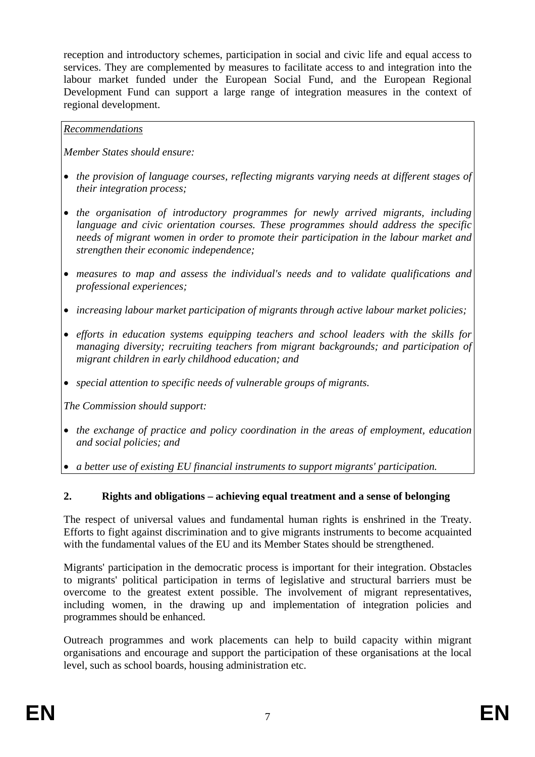reception and introductory schemes, participation in social and civic life and equal access to services. They are complemented by measures to facilitate access to and integration into the labour market funded under the European Social Fund, and the European Regional Development Fund can support a large range of integration measures in the context of regional development.

### *Recommendations*

*Member States should ensure:* 

- *the provision of language courses, reflecting migrants varying needs at different stages of their integration process;*
- *the organisation of introductory programmes for newly arrived migrants, including language and civic orientation courses. These programmes should address the specific needs of migrant women in order to promote their participation in the labour market and strengthen their economic independence;*
- *measures to map and assess the individual's needs and to validate qualifications and professional experiences;*
- *increasing labour market participation of migrants through active labour market policies;*
- *efforts in education systems equipping teachers and school leaders with the skills for managing diversity; recruiting teachers from migrant backgrounds; and participation of migrant children in early childhood education; and*
- *special attention to specific needs of vulnerable groups of migrants.*

*The Commission should support:* 

- *the exchange of practice and policy coordination in the areas of employment, education and social policies; and*
- *a better use of existing EU financial instruments to support migrants' participation.*

### **2. Rights and obligations – achieving equal treatment and a sense of belonging**

The respect of universal values and fundamental human rights is enshrined in the Treaty. Efforts to fight against discrimination and to give migrants instruments to become acquainted with the fundamental values of the EU and its Member States should be strengthened.

Migrants' participation in the democratic process is important for their integration. Obstacles to migrants' political participation in terms of legislative and structural barriers must be overcome to the greatest extent possible. The involvement of migrant representatives, including women, in the drawing up and implementation of integration policies and programmes should be enhanced.

Outreach programmes and work placements can help to build capacity within migrant organisations and encourage and support the participation of these organisations at the local level, such as school boards, housing administration etc.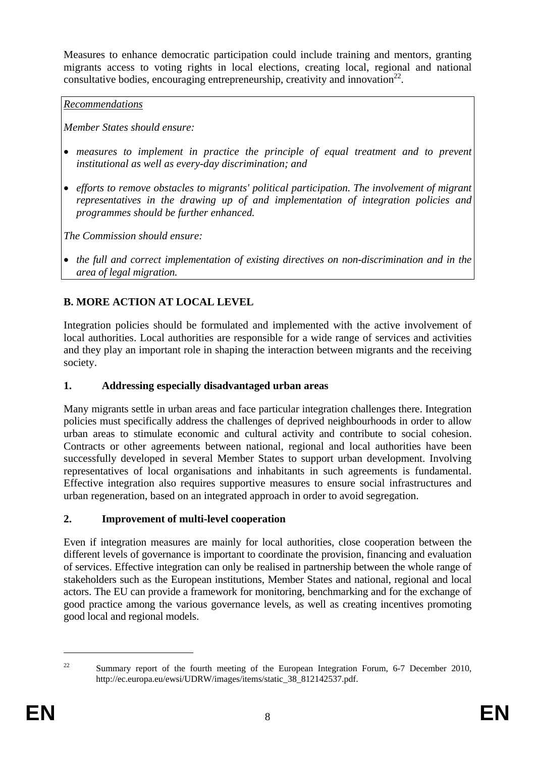Measures to enhance democratic participation could include training and mentors, granting migrants access to voting rights in local elections, creating local, regional and national consultative bodies, encouraging entrepreneurship, creativity and innovation<sup>22</sup>.

*Recommendations*

*Member States should ensure:* 

- *measures to implement in practice the principle of equal treatment and to prevent institutional as well as every-day discrimination; and*
- *efforts to remove obstacles to migrants' political participation. The involvement of migrant representatives in the drawing up of and implementation of integration policies and programmes should be further enhanced.*

*The Commission should ensure:* 

• *the full and correct implementation of existing directives on non-discrimination and in the area of legal migration.* 

# <span id="page-8-0"></span>**B. MORE ACTION AT LOCAL LEVEL**

Integration policies should be formulated and implemented with the active involvement of local authorities. Local authorities are responsible for a wide range of services and activities and they play an important role in shaping the interaction between migrants and the receiving society.

# **1. Addressing especially disadvantaged urban areas**

Many migrants settle in urban areas and face particular integration challenges there. Integration policies must specifically address the challenges of deprived neighbourhoods in order to allow urban areas to stimulate economic and cultural activity and contribute to social cohesion. Contracts or other agreements between national, regional and local authorities have been successfully developed in several Member States to support urban development. Involving representatives of local organisations and inhabitants in such agreements is fundamental. Effective integration also requires supportive measures to ensure social infrastructures and urban regeneration, based on an integrated approach in order to avoid segregation.

# **2. Improvement of multi-level cooperation**

Even if integration measures are mainly for local authorities, close cooperation between the different levels of governance is important to coordinate the provision, financing and evaluation of services. Effective integration can only be realised in partnership between the whole range of stakeholders such as the European institutions, Member States and national, regional and local actors. The EU can provide a framework for monitoring, benchmarking and for the exchange of good practice among the various governance levels, as well as creating incentives promoting good local and regional models.

<u>.</u>

<sup>&</sup>lt;sup>22</sup> Summary report of the fourth meeting of the European Integration Forum,  $6-7$  December 2010, [http://ec.europa.eu/ewsi/UDRW/images/items/static\\_38\\_812142537.pdf.](http://ec.europa.eu/ewsi/UDRW/images/items/static_38_812142537.pdf)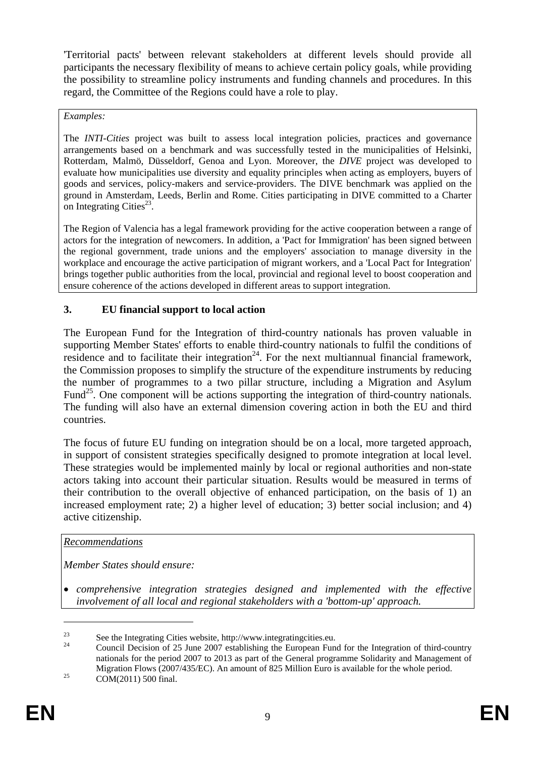'Territorial pacts' between relevant stakeholders at different levels should provide all participants the necessary flexibility of means to achieve certain policy goals, while providing the possibility to streamline policy instruments and funding channels and procedures. In this regard, the Committee of the Regions could have a role to play.

#### *Examples:*

The *INTI-Cities* project was built to assess local integration policies, practices and governance arrangements based on a benchmark and was successfully tested in the municipalities of Helsinki, Rotterdam, Malmö, Düsseldorf, Genoa and Lyon. Moreover, the *DIVE* project was developed to evaluate how municipalities use diversity and equality principles when acting as employers, buyers of goods and services, policy-makers and service-providers. The DIVE benchmark was applied on the ground in Amsterdam, Leeds, Berlin and Rome. Cities participating in DIVE committed to a Charter on Integrating Cities<sup>23</sup>.

The Region of Valencia has a legal framework providing for the active cooperation between a range of actors for the integration of newcomers. In addition, a 'Pact for Immigration' has been signed between the regional government, trade unions and the employers' association to manage diversity in the workplace and encourage the active participation of migrant workers, and a 'Local Pact for Integration' brings together public authorities from the local, provincial and regional level to boost cooperation and ensure coherence of the actions developed in different areas to support integration.

### **3. EU financial support to local action**

The European Fund for the Integration of third-country nationals has proven valuable in supporting Member States' efforts to enable third-country nationals to fulfil the conditions of residence and to facilitate their integration<sup>24</sup>. For the next multiannual financial framework, the Commission proposes to simplify the structure of the expenditure instruments by reducing the number of programmes to a two pillar structure, including a Migration and Asylum Fund<sup>25</sup>. One component will be actions supporting the integration of third-country nationals. The funding will also have an external dimension covering action in both the EU and third countries.

The focus of future EU funding on integration should be on a local, more targeted approach, in support of consistent strategies specifically designed to promote integration at local level. These strategies would be implemented mainly by local or regional authorities and non-state actors taking into account their particular situation. Results would be measured in terms of their contribution to the overall objective of enhanced participation, on the basis of 1) an increased employment rate; 2) a higher level of education; 3) better social inclusion; and 4) active citizenship.

#### *Recommendations*

*Member States should ensure:* 

• *comprehensive integration strategies designed and implemented with the effective involvement of all local and regional stakeholders with a 'bottom-up' approach.* 

<u>.</u>

<sup>&</sup>lt;sup>23</sup> See the Integrating Cities website, http://www.integratingcities.eu.

<sup>24</sup> Council Decision of 25 June 2007 establishing the European Fund for the Integration of third-country nationals for the period 2007 to 2013 as part of the General programme Solidarity and Management of Migration Flows (2007/435/EC). An amount of 825 Million Euro is available for the whole period.<br>COM(2011) 500 final.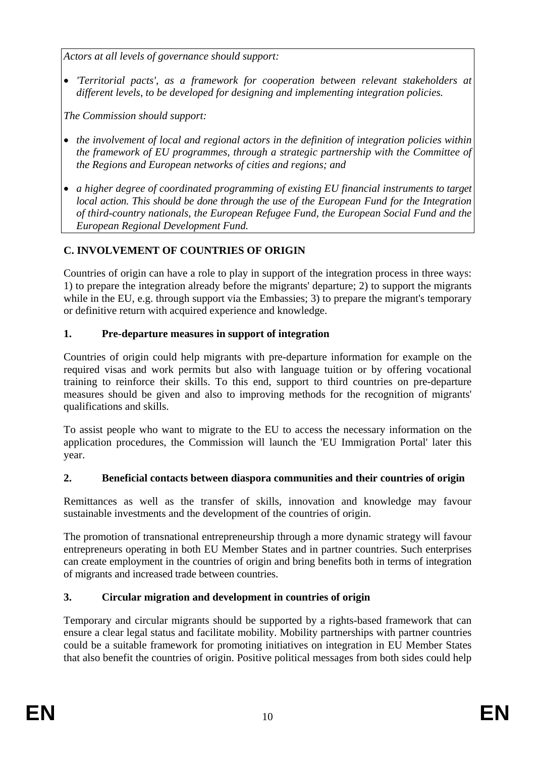*Actors at all levels of governance should support:* 

• *'Territorial pacts', as a framework for cooperation between relevant stakeholders at different levels, to be developed for designing and implementing integration policies.* 

*The Commission should support:* 

- *the involvement of local and regional actors in the definition of integration policies within the framework of EU programmes, through a strategic partnership with the Committee of the Regions and European networks of cities and regions; and*
- *a higher degree of coordinated programming of existing EU financial instruments to target local action. This should be done through the use of the European Fund for the Integration of third-country nationals, the European Refugee Fund, the European Social Fund and the European Regional Development Fund.*

# <span id="page-10-0"></span>**C. INVOLVEMENT OF COUNTRIES OF ORIGIN**

Countries of origin can have a role to play in support of the integration process in three ways: 1) to prepare the integration already before the migrants' departure; 2) to support the migrants while in the EU, e.g. through support via the Embassies; 3) to prepare the migrant's temporary or definitive return with acquired experience and knowledge.

## **1. Pre-departure measures in support of integration**

Countries of origin could help migrants with pre-departure information for example on the required visas and work permits but also with language tuition or by offering vocational training to reinforce their skills. To this end, support to third countries on pre-departure measures should be given and also to improving methods for the recognition of migrants' qualifications and skills.

To assist people who want to migrate to the EU to access the necessary information on the application procedures, the Commission will launch the 'EU Immigration Portal' later this year.

### **2. Beneficial contacts between diaspora communities and their countries of origin**

Remittances as well as the transfer of skills, innovation and knowledge may favour sustainable investments and the development of the countries of origin.

The promotion of transnational entrepreneurship through a more dynamic strategy will favour entrepreneurs operating in both EU Member States and in partner countries. Such enterprises can create employment in the countries of origin and bring benefits both in terms of integration of migrants and increased trade between countries.

# **3. Circular migration and development in countries of origin**

Temporary and circular migrants should be supported by a rights-based framework that can ensure a clear legal status and facilitate mobility. Mobility partnerships with partner countries could be a suitable framework for promoting initiatives on integration in EU Member States that also benefit the countries of origin. Positive political messages from both sides could help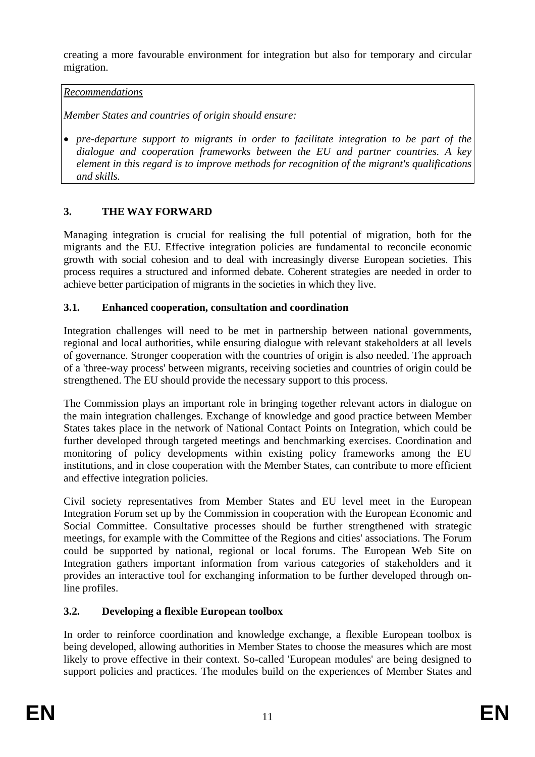creating a more favourable environment for integration but also for temporary and circular migration.

### *Recommendations*

*Member States and countries of origin should ensure:* 

• *pre-departure support to migrants in order to facilitate integration to be part of the dialogue and cooperation frameworks between the EU and partner countries. A key element in this regard is to improve methods for recognition of the migrant's qualifications and skills.* 

## <span id="page-11-0"></span>**3. THE WAY FORWARD**

Managing integration is crucial for realising the full potential of migration, both for the migrants and the EU. Effective integration policies are fundamental to reconcile economic growth with social cohesion and to deal with increasingly diverse European societies. This process requires a structured and informed debate. Coherent strategies are needed in order to achieve better participation of migrants in the societies in which they live.

### **3.1. Enhanced cooperation, consultation and coordination**

Integration challenges will need to be met in partnership between national governments, regional and local authorities, while ensuring dialogue with relevant stakeholders at all levels of governance. Stronger cooperation with the countries of origin is also needed. The approach of a 'three-way process' between migrants, receiving societies and countries of origin could be strengthened. The EU should provide the necessary support to this process.

The Commission plays an important role in bringing together relevant actors in dialogue on the main integration challenges. Exchange of knowledge and good practice between Member States takes place in the network of National Contact Points on Integration, which could be further developed through targeted meetings and benchmarking exercises. Coordination and monitoring of policy developments within existing policy frameworks among the EU institutions, and in close cooperation with the Member States, can contribute to more efficient and effective integration policies.

Civil society representatives from Member States and EU level meet in the European Integration Forum set up by the Commission in cooperation with the European Economic and Social Committee. Consultative processes should be further strengthened with strategic meetings, for example with the Committee of the Regions and cities' associations. The Forum could be supported by national, regional or local forums. The European Web Site on Integration gathers important information from various categories of stakeholders and it provides an interactive tool for exchanging information to be further developed through online profiles.

# **3.2. Developing a flexible European toolbox**

In order to reinforce coordination and knowledge exchange, a flexible European toolbox is being developed, allowing authorities in Member States to choose the measures which are most likely to prove effective in their context. So-called 'European modules' are being designed to support policies and practices. The modules build on the experiences of Member States and